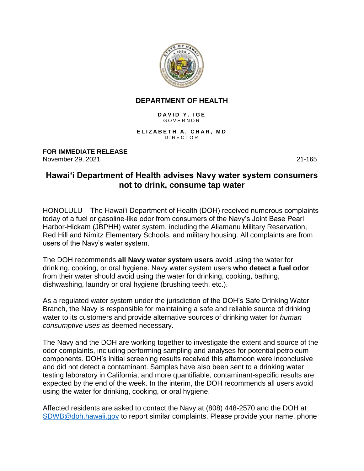

## **DEPARTMENT OF HEALTH**

DAVID Y. IGE **GOVERNOR** 

**ELIZABETH A. CHAR, MD** D I R E C T O R

**FOR IMMEDIATE RELEASE** November 29, 2021 21-165

## **Hawai'i Department of Health advises Navy water system consumers not to drink, consume tap water**

HONOLULU – The Hawai'i Department of Health (DOH) received numerous complaints today of a fuel or gasoline-like odor from consumers of the Navy's Joint Base Pearl Harbor-Hickam (JBPHH) water system, including the Aliamanu Military Reservation, Red Hill and Nimitz Elementary Schools, and military housing. All complaints are from users of the Navy's water system.

The DOH recommends **all Navy water system users** avoid using the water for drinking, cooking, or oral hygiene. Navy water system users **who detect a fuel odor** from their water should avoid using the water for drinking, cooking, bathing, dishwashing, laundry or oral hygiene (brushing teeth, etc.).

As a regulated water system under the jurisdiction of the DOH's Safe Drinking Water Branch, the Navy is responsible for maintaining a safe and reliable source of drinking water to its customers and provide alternative sources of drinking water for *human consumptive uses* as deemed necessary.

The Navy and the DOH are working together to investigate the extent and source of the odor complaints, including performing sampling and analyses for potential petroleum components. DOH's initial screening results received this afternoon were inconclusive and did not detect a contaminant. Samples have also been sent to a drinking water testing laboratory in California, and more quantifiable, contaminant-specific results are expected by the end of the week. In the interim, the DOH recommends all users avoid using the water for drinking, cooking, or oral hygiene.

Affected residents are asked to contact the Navy at (808) 448-2570 and the DOH at [SDWB@doh.hawaii.gov](mailto:SDWB@doh.hawaii.gov) to report similar complaints. Please provide your name, phone